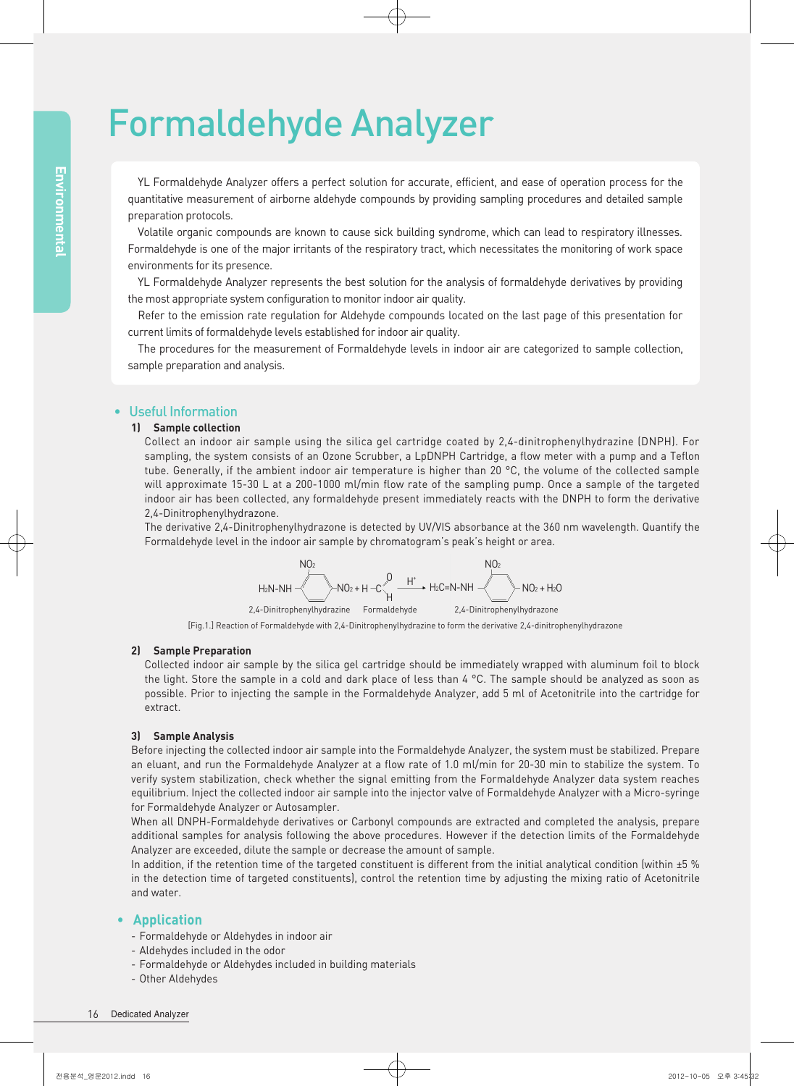# Formaldehyde Analyzer

YL Formaldehyde Analyzer offers a perfect solution for accurate, efficient, and ease of operation process for the quantitative measurement of airborne aldehyde compounds by providing sampling procedures and detailed sample preparation protocols.

Volatile organic compounds are known to cause sick building syndrome, which can lead to respiratory illnesses. Formaldehyde is one of the major irritants of the respiratory tract, which necessitates the monitoring of work space environments for its presence.

YL Formaldehyde Analyzer represents the best solution for the analysis of formaldehyde derivatives by providing the most appropriate system configuration to monitor indoor air quality.

Refer to the emission rate regulation for Aldehyde compounds located on the last page of this presentation for current limits of formaldehyde levels established for indoor air quality.

The procedures for the measurement of Formaldehyde levels in indoor air are categorized to sample collection, sample preparation and analysis.

### • Useful Information

#### 1) Sample collection

Collect an indoor air sample using the silica gel cartridge coated by 2,4-dinitrophenylhydrazine (DNPH). For sampling, the system consists of an Ozone Scrubber, a LpDNPH Cartridge, a flow meter with a pump and a Teflon tube. Generally, if the ambient indoor air temperature is higher than 20 °C, the volume of the collected sample will approximate 15-30 L at a 200-1000 ml/min flow rate of the sampling pump. Once a sample of the targeted indoor air has been collected, any formaldehyde present immediately reacts with the DNPH to form the derivative 2,4-Dinitrophenylhydrazone.

The derivative 2,4-Dinitrophenylhydrazone is detected by UV/VIS absorbance at the 360 nm wavelength. Quantify the Formaldehyde level in the indoor air sample by chromatogram's peak's height or area.



[Fig.1.] Reaction of Formaldehyde with 2,4-Dinitrophenylhydrazine to form the derivative 2,4-dinitrophenylhydrazone

#### 2) Sample Preparation

Collected indoor air sample by the silica gel cartridge should be immediately wrapped with aluminum foil to block the light. Store the sample in a cold and dark place of less than 4 °C. The sample should be analyzed as soon as possible. Prior to injecting the sample in the Formaldehyde Analyzer, add 5 ml of Acetonitrile into the cartridge for extract.

#### 3) Sample Analysis

Before injecting the collected indoor air sample into the Formaldehyde Analyzer, the system must be stabilized. Prepare an eluant, and run the Formaldehyde Analyzer at a flow rate of 1.0 ml/min for 20-30 min to stabilize the system. To verify system stabilization, check whether the signal emitting from the Formaldehyde Analyzer data system reaches equilibrium. Inject the collected indoor air sample into the injector valve of Formaldehyde Analyzer with a Micro-syringe for Formaldehyde Analyzer or Autosampler.

When all DNPH-Formaldehyde derivatives or Carbonyl compounds are extracted and completed the analysis, prepare additional samples for analysis following the above procedures. However if the detection limits of the Formaldehyde Analyzer are exceeded, dilute the sample or decrease the amount of sample.

In addition, if the retention time of the targeted constituent is different from the initial analytical condition (within ±5 % in the detection time of targeted constituents), control the retention time by adjusting the mixing ratio of Acetonitrile and water.

#### • Application

- Formaldehyde or Aldehydes in indoor air
- Aldehydes included in the odor
- Formaldehyde or Aldehydes included in building materials
- Other Aldehydes

#### 16 Dedicated Analyzer